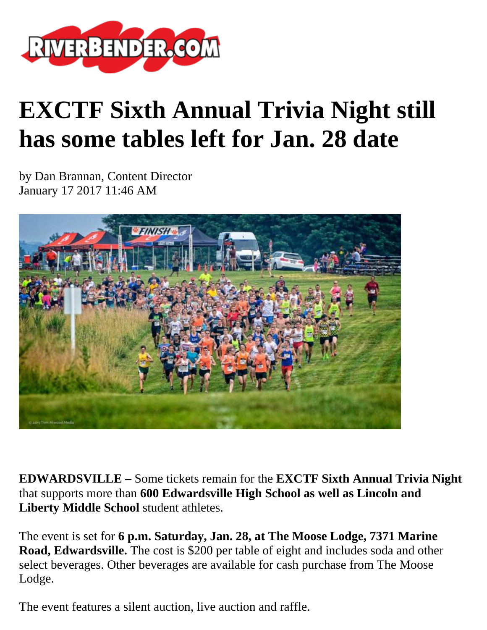

## **EXCTF Sixth Annual Trivia Night still has some tables left for Jan. 28 date**

by Dan Brannan, Content Director January 17 2017 11:46 AM



**EDWARDSVILLE –** Some tickets remain for the **EXCTF Sixth Annual Trivia Night** that supports more than **600 Edwardsville High School as well as Lincoln and Liberty Middle School** student athletes.

The event is set for **6 p.m. Saturday, Jan. 28, at The Moose Lodge, 7371 Marine Road, Edwardsville.** The cost is \$200 per table of eight and includes soda and other select beverages. Other beverages are available for cash purchase from The Moose Lodge.

The event features a silent auction, live auction and raffle.